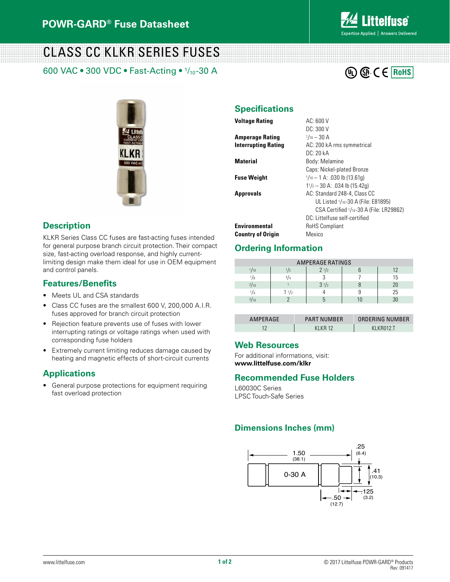

## CLASS CC KLKR SERIES FUSES

600 VAC • 300 VDC • Fast-Acting • 1/10-30 A





#### **Description**

KLKR Series Class CC fuses are fast-acting fuses intended for general purpose branch circuit protection. Their compact size, fast-acting overload response, and highly currentlimiting design make them ideal for use in OEM equipment and control panels.

#### **Features/Benefits**

- Meets UL and CSA standards
- Class CC fuses are the smallest 600 V, 200,000 A.I.R. fuses approved for branch circuit protection
- Rejection feature prevents use of fuses with lower interrupting ratings or voltage ratings when used with corresponding fuse holders
- Extremely current limiting reduces damage caused by heating and magnetic effects of short-circuit currents

### **Applications**

• General purpose protections for equipment requiring fast overload protection

#### **Specifications**

| Voltage Rating       | AC: 600V                                |
|----------------------|-----------------------------------------|
|                      | DC: 300 V                               |
| Amperage Rating      | $1/10 - 30$ A                           |
| Interrupting Rating  | AC: 200 kA rms symmetrical              |
|                      | DC: 20 kA                               |
| Material             | Body: Melamine                          |
|                      | Caps: Nickel-plated Bronze              |
| Fuse Weight          | $1/10 - 1$ A: .030 lb (13.61g)          |
|                      | $11/z - 30$ A: .034 lb (15.42g)         |
| Approvals            | AC: Standard 248-4, Class CC            |
|                      | UL Listed 1/10-30 A (File: E81895)      |
|                      | CSA Certified 1/10-30 A (File: LR29862) |
|                      | DC: Littelfuse self-certified           |
| <b>Environmental</b> | RoHS Compliant                          |
| Country of Oriain    | Mexico                                  |

## **Ordering Information**

| <b>AMPERAGE RATINGS</b> |      |           |  |    |  |  |  |  |
|-------------------------|------|-----------|--|----|--|--|--|--|
| 1/10                    | 12   | $2^{1/2}$ |  | 12 |  |  |  |  |
| l/8                     | 3/4  |           |  | 15 |  |  |  |  |
| 2/10                    |      | $3^{1/2}$ |  | 20 |  |  |  |  |
| 14                      | 11/2 |           |  | 25 |  |  |  |  |
| 3/10                    |      |           |  | 30 |  |  |  |  |

| AMPERAGE | <b>PART NUMBER</b> | ORDERING NUMBER |
|----------|--------------------|-----------------|
|          | KI KR 12           | KI KRN12 T      |

#### **Web Resources**

For additional informations, visit: **www.littelfuse.com/klkr**

#### **Recommended Fuse Holders**

L60030C Series LPSC Touch-Safe Series

#### **Dimensions Inches (mm)**